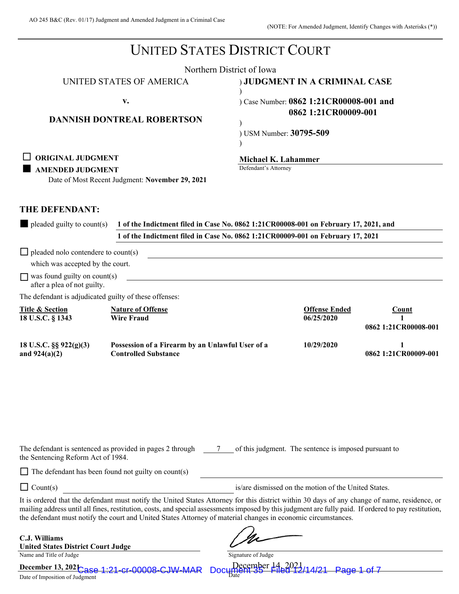|                                                                                                 |                                                                                                                                                                                                                                                                                                                                                                                                                        | <b>UNITED STATES DISTRICT COURT</b>                                             |                                    |                               |
|-------------------------------------------------------------------------------------------------|------------------------------------------------------------------------------------------------------------------------------------------------------------------------------------------------------------------------------------------------------------------------------------------------------------------------------------------------------------------------------------------------------------------------|---------------------------------------------------------------------------------|------------------------------------|-------------------------------|
|                                                                                                 |                                                                                                                                                                                                                                                                                                                                                                                                                        | Northern District of Iowa                                                       |                                    |                               |
|                                                                                                 | UNITED STATES OF AMERICA                                                                                                                                                                                                                                                                                                                                                                                               | ) JUDGMENT IN A CRIMINAL CASE                                                   |                                    |                               |
|                                                                                                 | v.                                                                                                                                                                                                                                                                                                                                                                                                                     | Case Number: 0862 1:21CR00008-001 and                                           |                                    |                               |
|                                                                                                 | <b>DANNISH DONTREAL ROBERTSON</b>                                                                                                                                                                                                                                                                                                                                                                                      |                                                                                 | 0862 1:21CR00009-001               |                               |
|                                                                                                 |                                                                                                                                                                                                                                                                                                                                                                                                                        | ) USM Number: 30795-509                                                         |                                    |                               |
| <b>ORIGINAL JUDGMENT</b><br><b>AMENDED JUDGMENT</b>                                             | Date of Most Recent Judgment: November 29, 2021                                                                                                                                                                                                                                                                                                                                                                        | Michael K. Lahammer<br>Defendant's Attorney                                     |                                    |                               |
| THE DEFENDANT:                                                                                  |                                                                                                                                                                                                                                                                                                                                                                                                                        |                                                                                 |                                    |                               |
| $\blacksquare$ pleaded guilty to count(s)                                                       | 1 of the Indictment filed in Case No. 0862 1:21CR00008-001 on February 17, 2021, and                                                                                                                                                                                                                                                                                                                                   |                                                                                 |                                    |                               |
|                                                                                                 |                                                                                                                                                                                                                                                                                                                                                                                                                        | 1 of the Indictment filed in Case No. 0862 1:21CR00009-001 on February 17, 2021 |                                    |                               |
| $\Box$ pleaded nolo contendere to count(s)<br>which was accepted by the court.                  |                                                                                                                                                                                                                                                                                                                                                                                                                        |                                                                                 |                                    |                               |
| $\Box$ was found guilty on count(s)<br>after a plea of not guilty.                              |                                                                                                                                                                                                                                                                                                                                                                                                                        | <u> 1989 - John Stein, Amerikaansk politiker (* 1958)</u>                       |                                    |                               |
| The defendant is adjudicated guilty of these offenses:                                          |                                                                                                                                                                                                                                                                                                                                                                                                                        |                                                                                 |                                    |                               |
| <b>Title &amp; Section</b><br>18 U.S.C. § 1343                                                  | <b>Nature of Offense</b><br><b>Wire Fraud</b>                                                                                                                                                                                                                                                                                                                                                                          |                                                                                 | <b>Offense Ended</b><br>06/25/2020 | Count<br>0862 1:21CR00008-001 |
| 18 U.S.C. §§ 922(g)(3)<br>and $924(a)(2)$                                                       | Possession of a Firearm by an Unlawful User of a<br><b>Controlled Substance</b>                                                                                                                                                                                                                                                                                                                                        |                                                                                 | 10/29/2020                         | 1<br>0862 1:21CR00009-001     |
| The defendant is sentenced as provided in pages 2 through<br>the Sentencing Reform Act of 1984. |                                                                                                                                                                                                                                                                                                                                                                                                                        | of this judgment. The sentence is imposed pursuant to                           |                                    |                               |
|                                                                                                 | The defendant has been found not guilty on count(s)                                                                                                                                                                                                                                                                                                                                                                    |                                                                                 |                                    |                               |
| $\Box$ Count(s)                                                                                 |                                                                                                                                                                                                                                                                                                                                                                                                                        | is/are dismissed on the motion of the United States.                            |                                    |                               |
|                                                                                                 | It is ordered that the defendant must notify the United States Attorney for this district within 30 days of any change of name, residence, or<br>mailing address until all fines, restitution, costs, and special assessments imposed by this judgment are fully paid. If ordered to pay restitution,<br>the defendant must notify the court and United States Attorney of material changes in economic circumstances. |                                                                                 |                                    |                               |
| C.J. Williams<br><b>United States District Court Judge</b><br>Name and Title of Judge           |                                                                                                                                                                                                                                                                                                                                                                                                                        | Signature of Judge                                                              |                                    |                               |
| December 13, 202 $\sim$ $\sim$ $\sim$ 1.21 cr-00008-C JW-M<br>Date of Imposition of Judgment    |                                                                                                                                                                                                                                                                                                                                                                                                                        | December 14, 2                                                                  |                                    |                               |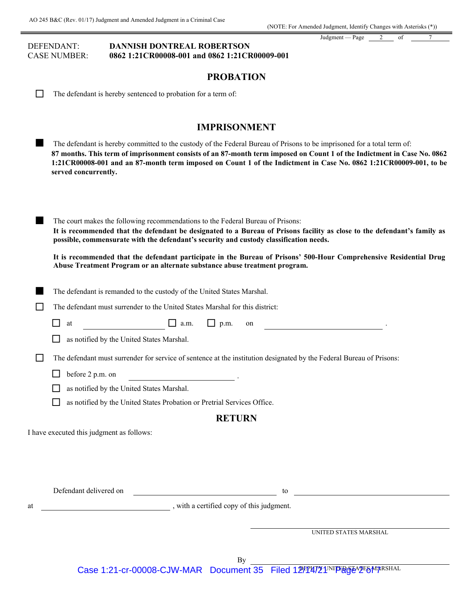#### DEFENDANT: **DANNISH DONTREAL ROBERTSON** CASE NUMBER: **0862 1:21CR00008-001 and 0862 1:21CR00009-001**

Judgment — Page 2 of 7

# **PROBATION**

| $\Box$ | The defendant is hereby sentenced to probation for a term of |  |  |  |  |  |  |  |
|--------|--------------------------------------------------------------|--|--|--|--|--|--|--|
|--------|--------------------------------------------------------------|--|--|--|--|--|--|--|

# **IMPRISONMENT**

|    | IMPRISONMEN I                                                                                                                                                                                                                                                                                                                                                                                   |
|----|-------------------------------------------------------------------------------------------------------------------------------------------------------------------------------------------------------------------------------------------------------------------------------------------------------------------------------------------------------------------------------------------------|
|    | The defendant is hereby committed to the custody of the Federal Bureau of Prisons to be imprisoned for a total term of:<br>87 months. This term of imprisonment consists of an 87-month term imposed on Count 1 of the Indictment in Case No. 0862<br>1:21CR00008-001 and an 87-month term imposed on Count 1 of the Indictment in Case No. 0862 1:21CR00009-001, to be<br>served concurrently. |
|    | The court makes the following recommendations to the Federal Bureau of Prisons:<br>It is recommended that the defendant be designated to a Bureau of Prisons facility as close to the defendant's family as<br>possible, commensurate with the defendant's security and custody classification needs.                                                                                           |
|    | It is recommended that the defendant participate in the Bureau of Prisons' 500-Hour Comprehensive Residential Drug<br>Abuse Treatment Program or an alternate substance abuse treatment program.                                                                                                                                                                                                |
|    | The defendant is remanded to the custody of the United States Marshal.                                                                                                                                                                                                                                                                                                                          |
|    | The defendant must surrender to the United States Marshal for this district:                                                                                                                                                                                                                                                                                                                    |
|    | $\Box$ a.m.<br>$\Box$ p.m.<br>H<br>at<br>on                                                                                                                                                                                                                                                                                                                                                     |
|    | as notified by the United States Marshal.                                                                                                                                                                                                                                                                                                                                                       |
| └  | The defendant must surrender for service of sentence at the institution designated by the Federal Bureau of Prisons:                                                                                                                                                                                                                                                                            |
|    | before 2 p.m. on                                                                                                                                                                                                                                                                                                                                                                                |
|    | as notified by the United States Marshal.                                                                                                                                                                                                                                                                                                                                                       |
|    | as notified by the United States Probation or Pretrial Services Office.                                                                                                                                                                                                                                                                                                                         |
|    | <b>RETURN</b>                                                                                                                                                                                                                                                                                                                                                                                   |
|    | I have executed this judgment as follows:                                                                                                                                                                                                                                                                                                                                                       |
|    |                                                                                                                                                                                                                                                                                                                                                                                                 |
|    |                                                                                                                                                                                                                                                                                                                                                                                                 |
|    |                                                                                                                                                                                                                                                                                                                                                                                                 |
|    | Defendant delivered on                                                                                                                                                                                                                                                                                                                                                                          |
| at | with a certified copy of this judgment.                                                                                                                                                                                                                                                                                                                                                         |
|    |                                                                                                                                                                                                                                                                                                                                                                                                 |
|    | UNITED STATES MARSHAL                                                                                                                                                                                                                                                                                                                                                                           |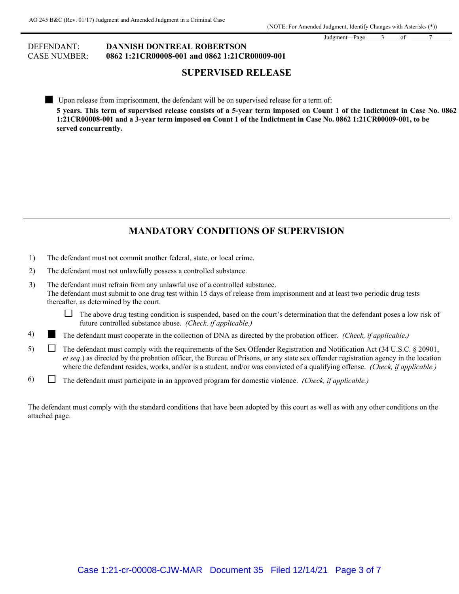Judgment—Page 3 of

### DEFENDANT: **DANNISH DONTREAL ROBERTSON** CASE NUMBER: **0862 1:21CR00008-001 and 0862 1:21CR00009-001**

# **SUPERVISED RELEASE**

 Upon release from imprisonment, the defendant will be on supervised release for a term of: **5 years. This term of supervised release consists of a 5-year term imposed on Count 1 of the Indictment in Case No. 0862 1:21CR00008-001 and a 3-year term imposed on Count 1 of the Indictment in Case No. 0862 1:21CR00009-001, to be served concurrently.**

# **MANDATORY CONDITIONS OF SUPERVISION**

- 1) The defendant must not commit another federal, state, or local crime.
- 2) The defendant must not unlawfully possess a controlled substance.
- 3) The defendant must refrain from any unlawful use of a controlled substance. The defendant must submit to one drug test within 15 days of release from imprisonment and at least two periodic drug tests thereafter, as determined by the court.

 $\Box$  The above drug testing condition is suspended, based on the court's determination that the defendant poses a low risk of future controlled substance abuse. *(Check, if applicable.)*

- 4) The defendant must cooperate in the collection of DNA as directed by the probation officer. *(Check, if applicable.)*
- 5)  $\Box$  The defendant must comply with the requirements of the Sex Offender Registration and Notification Act (34 U.S.C. § 20901, *et seq*.) as directed by the probation officer, the Bureau of Prisons, or any state sex offender registration agency in the location where the defendant resides, works, and/or is a student, and/or was convicted of a qualifying offense. *(Check, if applicable.)*
- 6) The defendant must participate in an approved program for domestic violence. *(Check, if applicable.)*

The defendant must comply with the standard conditions that have been adopted by this court as well as with any other conditions on the attached page.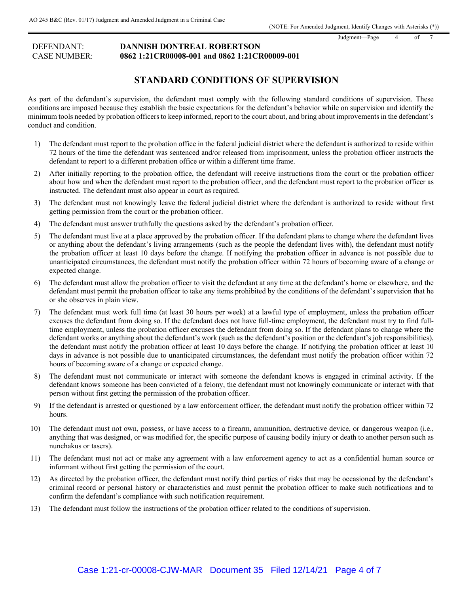Judgment—Page 4 of

#### DEFENDANT: **DANNISH DONTREAL ROBERTSON** CASE NUMBER: **0862 1:21CR00008-001 and 0862 1:21CR00009-001**

# **STANDARD CONDITIONS OF SUPERVISION**

As part of the defendant's supervision, the defendant must comply with the following standard conditions of supervision. These conditions are imposed because they establish the basic expectations for the defendant's behavior while on supervision and identify the minimum tools needed by probation officers to keep informed, report to the court about, and bring about improvements in the defendant's conduct and condition.

- 1) The defendant must report to the probation office in the federal judicial district where the defendant is authorized to reside within 72 hours of the time the defendant was sentenced and/or released from imprisonment, unless the probation officer instructs the defendant to report to a different probation office or within a different time frame.
- 2) After initially reporting to the probation office, the defendant will receive instructions from the court or the probation officer about how and when the defendant must report to the probation officer, and the defendant must report to the probation officer as instructed. The defendant must also appear in court as required.
- 3) The defendant must not knowingly leave the federal judicial district where the defendant is authorized to reside without first getting permission from the court or the probation officer.
- 4) The defendant must answer truthfully the questions asked by the defendant's probation officer.
- 5) The defendant must live at a place approved by the probation officer. If the defendant plans to change where the defendant lives or anything about the defendant's living arrangements (such as the people the defendant lives with), the defendant must notify the probation officer at least 10 days before the change. If notifying the probation officer in advance is not possible due to unanticipated circumstances, the defendant must notify the probation officer within 72 hours of becoming aware of a change or expected change.
- 6) The defendant must allow the probation officer to visit the defendant at any time at the defendant's home or elsewhere, and the defendant must permit the probation officer to take any items prohibited by the conditions of the defendant's supervision that he or she observes in plain view.
- 7) The defendant must work full time (at least 30 hours per week) at a lawful type of employment, unless the probation officer excuses the defendant from doing so. If the defendant does not have full-time employment, the defendant must try to find fulltime employment, unless the probation officer excuses the defendant from doing so. If the defendant plans to change where the defendant works or anything about the defendant's work (such as the defendant's position or the defendant's job responsibilities), the defendant must notify the probation officer at least 10 days before the change. If notifying the probation officer at least 10 days in advance is not possible due to unanticipated circumstances, the defendant must notify the probation officer within 72 hours of becoming aware of a change or expected change.
- 8) The defendant must not communicate or interact with someone the defendant knows is engaged in criminal activity. If the defendant knows someone has been convicted of a felony, the defendant must not knowingly communicate or interact with that person without first getting the permission of the probation officer.
- 9) If the defendant is arrested or questioned by a law enforcement officer, the defendant must notify the probation officer within 72 hours.
- 10) The defendant must not own, possess, or have access to a firearm, ammunition, destructive device, or dangerous weapon (i.e., anything that was designed, or was modified for, the specific purpose of causing bodily injury or death to another person such as nunchakus or tasers).
- 11) The defendant must not act or make any agreement with a law enforcement agency to act as a confidential human source or informant without first getting the permission of the court.
- 12) As directed by the probation officer, the defendant must notify third parties of risks that may be occasioned by the defendant's criminal record or personal history or characteristics and must permit the probation officer to make such notifications and to confirm the defendant's compliance with such notification requirement.
- 13) The defendant must follow the instructions of the probation officer related to the conditions of supervision.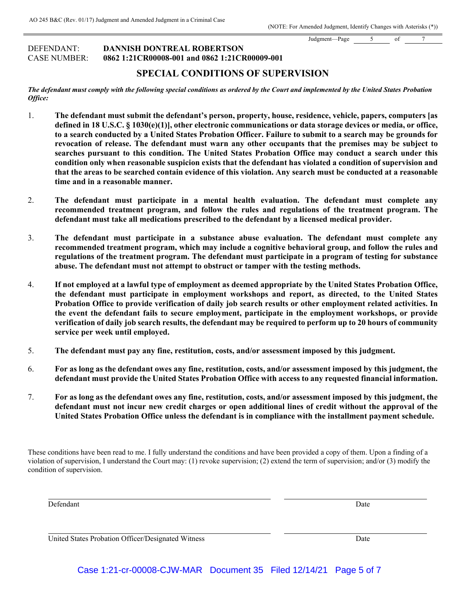Judgment—Page 5 of DEFENDANT: **DANNISH DONTREAL ROBERTSON**

CASE NUMBER: **0862 1:21CR00008-001 and 0862 1:21CR00009-001**

# **SPECIAL CONDITIONS OF SUPERVISION**

#### *The defendant must comply with the following special conditions as ordered by the Court and implemented by the United States Probation Office:*

- 1. **The defendant must submit the defendant's person, property, house, residence, vehicle, papers, computers [as defined in 18 U.S.C. § 1030(e)(1)], other electronic communications or data storage devices or media, or office, to a search conducted by a United States Probation Officer. Failure to submit to a search may be grounds for revocation of release. The defendant must warn any other occupants that the premises may be subject to searches pursuant to this condition. The United States Probation Office may conduct a search under this condition only when reasonable suspicion exists that the defendant has violated a condition of supervision and that the areas to be searched contain evidence of this violation. Any search must be conducted at a reasonable time and in a reasonable manner.**
- 2. **The defendant must participate in a mental health evaluation. The defendant must complete any recommended treatment program, and follow the rules and regulations of the treatment program. The defendant must take all medications prescribed to the defendant by a licensed medical provider.**
- 3. **The defendant must participate in a substance abuse evaluation. The defendant must complete any recommended treatment program, which may include a cognitive behavioral group, and follow the rules and regulations of the treatment program. The defendant must participate in a program of testing for substance abuse. The defendant must not attempt to obstruct or tamper with the testing methods.**
- 4. **If not employed at a lawful type of employment as deemed appropriate by the United States Probation Office, the defendant must participate in employment workshops and report, as directed, to the United States Probation Office to provide verification of daily job search results or other employment related activities. In the event the defendant fails to secure employment, participate in the employment workshops, or provide verification of daily job search results, the defendant may be required to perform up to 20 hours of community service per week until employed.**
- 5. **The defendant must pay any fine, restitution, costs, and/or assessment imposed by this judgment.**
- 6. **For as long as the defendant owes any fine, restitution, costs, and/or assessment imposed by this judgment, the defendant must provide the United States Probation Office with access to any requested financial information.**
- 7. **For as long as the defendant owes any fine, restitution, costs, and/or assessment imposed by this judgment, the defendant must not incur new credit charges or open additional lines of credit without the approval of the United States Probation Office unless the defendant is in compliance with the installment payment schedule.**

These conditions have been read to me. I fully understand the conditions and have been provided a copy of them. Upon a finding of a violation of supervision, I understand the Court may: (1) revoke supervision; (2) extend the term of supervision; and/or (3) modify the condition of supervision.

Defendant Date

United States Probation Officer/Designated Witness **Date**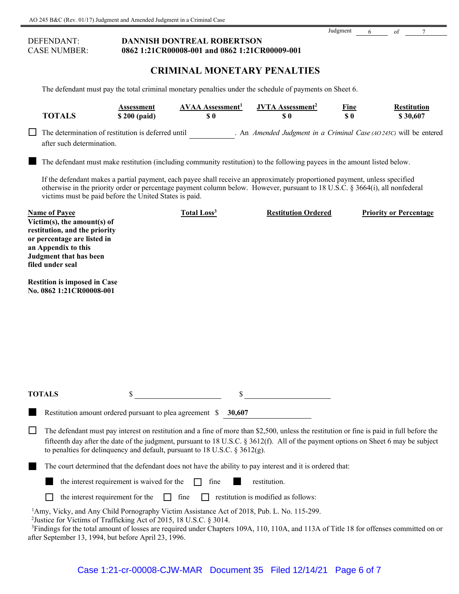# DEFENDANT: **DANNISH DONTREAL ROBERTSON** CASE NUMBER: **0862 1:21CR00008-001 and 0862 1:21CR00009-001**

## **CRIMINAL MONETARY PENALTIES**

Judgment 6 of 7

The defendant must pay the total criminal monetary penalties under the schedule of payments on Sheet 6.

| <b>TOTALS</b>                                                                                                                                                                            | Assessment<br>\$200 (paid) | <b>AVAA</b> Assessment <sup>1</sup><br>$\boldsymbol{\mathsf{S}}\boldsymbol{\mathsf{0}}$ | <b>JVTA</b> Assessment <sup>2</sup><br>\$0                                                                                                                                                                                                              | Fine<br>S <sub>0</sub> | <b>Restitution</b><br>\$30,607 |
|------------------------------------------------------------------------------------------------------------------------------------------------------------------------------------------|----------------------------|-----------------------------------------------------------------------------------------|---------------------------------------------------------------------------------------------------------------------------------------------------------------------------------------------------------------------------------------------------------|------------------------|--------------------------------|
| The determination of restitution is deferred until<br>after such determination.                                                                                                          |                            |                                                                                         | . An Amended Judgment in a Criminal Case $(AO\,245C)$ will be entered                                                                                                                                                                                   |                        |                                |
|                                                                                                                                                                                          |                            |                                                                                         | The defendant must make restitution (including community restitution) to the following payees in the amount listed below.<br>If the defendant makes a partial payment, each payee shall receive an approximately proportioned payment, unless specified |                        |                                |
| victims must be paid before the United States is paid.                                                                                                                                   |                            |                                                                                         | otherwise in the priority order or percentage payment column below. However, pursuant to 18 U.S.C. § 3664(i), all nonfederal                                                                                                                            |                        |                                |
| <b>Name of Payee</b><br>Victim(s), the amount(s) of<br>restitution, and the priority<br>or percentage are listed in<br>an Appendix to this<br>Judgment that has been<br>filed under seal |                            | Total Loss <sup>3</sup>                                                                 | <b>Restitution Ordered</b>                                                                                                                                                                                                                              |                        | <b>Priority or Percentage</b>  |
| <b>Restition is imposed in Case</b>                                                                                                                                                      |                            |                                                                                         |                                                                                                                                                                                                                                                         |                        |                                |

| <b>TOTALS</b> | <b>S</b>                                                        |  |
|---------------|-----------------------------------------------------------------|--|
|               | Restitution amount ordered pursuant to plea agreement \$ 30,607 |  |

The defendant must pay interest on restitution and a fine of more than \$2,500, unless the restitution or fine is paid in full before the fifteenth day after the date of the judgment, pursuant to 18 U.S.C. § 3612(f). All of the payment options on Sheet 6 may be subject to penalties for delinquency and default, pursuant to 18 U.S.C. § 3612(g).

The court determined that the defendant does not have the ability to pay interest and it is ordered that:

the interest requirement is waived for the  $\Box$  fine restitution.

 $\Box$  the interest requirement for the  $\Box$  fine  $\Box$  restitution is modified as follows:

<sup>1</sup>Amy, Vicky, and Any Child Pornography Victim Assistance Act of 2018, Pub. L. No. 115-299.<br><sup>2</sup>Iustice for Victims of Trafficking Act of 2015, 18 U.S.C. 8 3014.

<sup>2</sup> Justice for Victims of Trafficking Act of 2015, 18 U.S.C. § 3014.

**No. 0862 1:21CR00008-001**

<sup>3</sup>Findings for the total amount of losses are required under Chapters 109A, 110, 110A, and 113A of Title 18 for offenses committed on or after September 13, 1994, but before April 23, 1996.